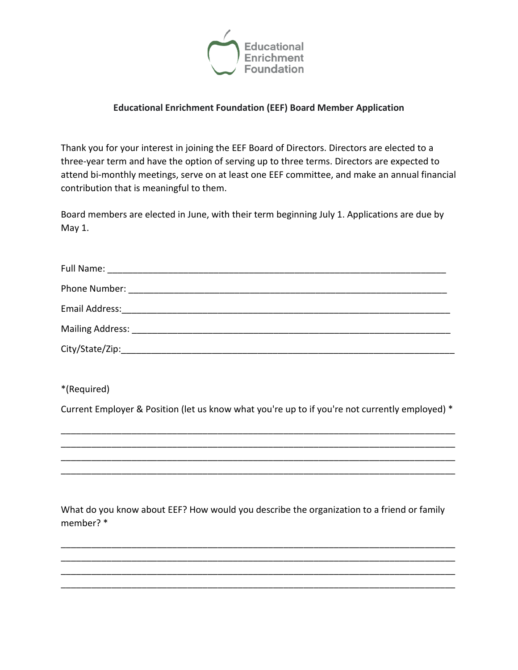

## **Educational Enrichment Foundation (EEF) Board Member Application**

Thank you for your interest in joining the EEF Board of Directors. Directors are elected to a three-year term and have the option of serving up to three terms. Directors are expected to attend bi-monthly meetings, serve on at least one EEF committee, and make an annual financial contribution that is meaningful to them.

Board members are elected in June, with their term beginning July 1. Applications are due by May 1.

\*(Required)

Current Employer & Position (let us know what you're up to if you're not currently employed) \*

\_\_\_\_\_\_\_\_\_\_\_\_\_\_\_\_\_\_\_\_\_\_\_\_\_\_\_\_\_\_\_\_\_\_\_\_\_\_\_\_\_\_\_\_\_\_\_\_\_\_\_\_\_\_\_\_\_\_\_\_\_\_\_\_\_\_\_\_\_\_\_\_\_\_\_\_\_\_ \_\_\_\_\_\_\_\_\_\_\_\_\_\_\_\_\_\_\_\_\_\_\_\_\_\_\_\_\_\_\_\_\_\_\_\_\_\_\_\_\_\_\_\_\_\_\_\_\_\_\_\_\_\_\_\_\_\_\_\_\_\_\_\_\_\_\_\_\_\_\_\_\_\_\_\_\_\_

\_\_\_\_\_\_\_\_\_\_\_\_\_\_\_\_\_\_\_\_\_\_\_\_\_\_\_\_\_\_\_\_\_\_\_\_\_\_\_\_\_\_\_\_\_\_\_\_\_\_\_\_\_\_\_\_\_\_\_\_\_\_\_\_\_\_\_\_\_\_\_\_\_\_\_\_\_\_

What do you know about EEF? How would you describe the organization to a friend or family member? \*

\_\_\_\_\_\_\_\_\_\_\_\_\_\_\_\_\_\_\_\_\_\_\_\_\_\_\_\_\_\_\_\_\_\_\_\_\_\_\_\_\_\_\_\_\_\_\_\_\_\_\_\_\_\_\_\_\_\_\_\_\_\_\_\_\_\_\_\_\_\_\_\_\_\_\_\_\_\_ \_\_\_\_\_\_\_\_\_\_\_\_\_\_\_\_\_\_\_\_\_\_\_\_\_\_\_\_\_\_\_\_\_\_\_\_\_\_\_\_\_\_\_\_\_\_\_\_\_\_\_\_\_\_\_\_\_\_\_\_\_\_\_\_\_\_\_\_\_\_\_\_\_\_\_\_\_\_ \_\_\_\_\_\_\_\_\_\_\_\_\_\_\_\_\_\_\_\_\_\_\_\_\_\_\_\_\_\_\_\_\_\_\_\_\_\_\_\_\_\_\_\_\_\_\_\_\_\_\_\_\_\_\_\_\_\_\_\_\_\_\_\_\_\_\_\_\_\_\_\_\_\_\_\_\_\_ \_\_\_\_\_\_\_\_\_\_\_\_\_\_\_\_\_\_\_\_\_\_\_\_\_\_\_\_\_\_\_\_\_\_\_\_\_\_\_\_\_\_\_\_\_\_\_\_\_\_\_\_\_\_\_\_\_\_\_\_\_\_\_\_\_\_\_\_\_\_\_\_\_\_\_\_\_\_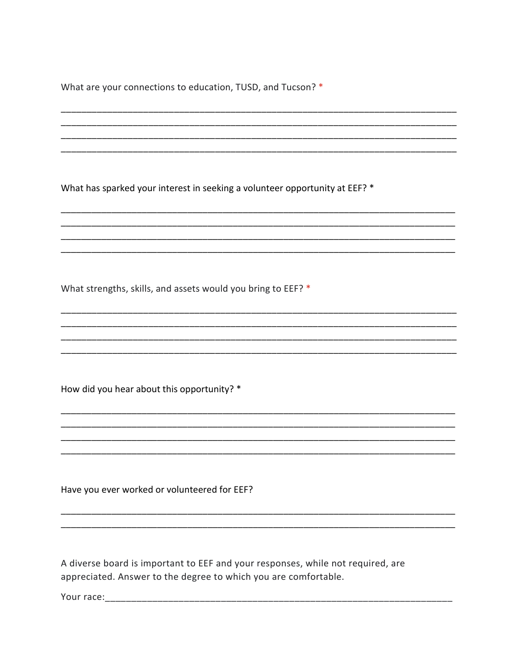What are your connections to education, TUSD, and Tucson? \*

What has sparked your interest in seeking a volunteer opportunity at EEF? \*

What strengths, skills, and assets would you bring to EEF? \*

How did you hear about this opportunity? \*

Have you ever worked or volunteered for EEF?

A diverse board is important to EEF and your responses, while not required, are appreciated. Answer to the degree to which you are comfortable.

Your race: The contract of the contract of the contract of the contract of the contract of the contract of the contract of the contract of the contract of the contract of the contract of the contract of the contract of the